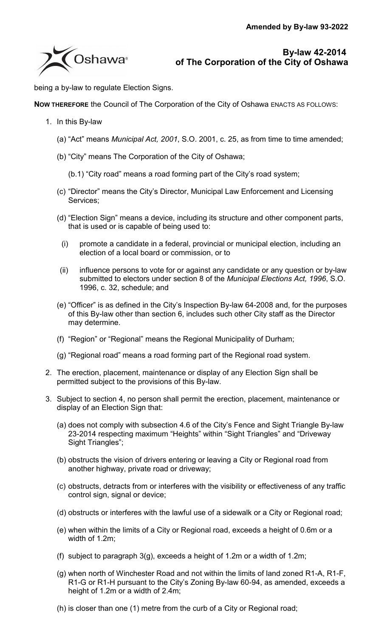

**By-law 42-2014 of The Corporation of the City of Oshawa**

being a by-law to regulate Election Signs.

**NOW THEREFORE** the Council of The Corporation of the City of Oshawa ENACTS AS FOLLOWS:

- 1. In this By-law
	- (a) "Act" means *Municipal Act, 2001*, S.O. 2001, c. 25, as from time to time amended;
	- (b) "City" means The Corporation of the City of Oshawa;

(b.1) "City road" means a road forming part of the City's road system;

- (c) "Director" means the City's Director, Municipal Law Enforcement and Licensing Services;
- (d) "Election Sign" means a device, including its structure and other component parts, that is used or is capable of being used to:
	- (i) promote a candidate in a federal, provincial or municipal election, including an election of a local board or commission, or to
- (ii) influence persons to vote for or against any candidate or any question or by-law submitted to electors under section 8 of the *Municipal Elections Act, 1996*, S.O. 1996, c. 32, schedule; and
- (e) "Officer" is as defined in the City's Inspection By-law 64-2008 and, for the purposes of this By-law other than section [6,](#page-1-0) includes such other City staff as the Director may determine.
- (f) "Region" or "Regional" means the Regional Municipality of Durham;
- (g) "Regional road" means a road forming part of the Regional road system.
- 2. The erection, placement, maintenance or display of any Election Sign shall be permitted subject to the provisions of this By-law.
- <span id="page-0-4"></span><span id="page-0-3"></span><span id="page-0-2"></span><span id="page-0-1"></span><span id="page-0-0"></span>3. Subject to section [4,](#page-1-1) no person shall permit the erection, placement, maintenance or display of an Election Sign that:
	- (a) does not comply with subsection 4.6 of the City's Fence and Sight Triangle By-law 23-2014 respecting maximum "Heights" within "Sight Triangles" and "Driveway Sight Triangles";
	- (b) obstructs the vision of drivers entering or leaving a City or Regional road from another highway, private road or driveway;
	- (c) obstructs, detracts from or interferes with the visibility or effectiveness of any traffic control sign, signal or device;
	- (d) obstructs or interferes with the lawful use of a sidewalk or a City or Regional road;
	- (e) when within the limits of a City or Regional road, exceeds a height of 0.6m or a width of 1.2m;
	- (f) subject to paragraph [3\(g\),](#page-0-0) exceeds a height of 1.2m or a width of 1.2m;
	- (g) when north of Winchester Road and not within the limits of land zoned R1-A, R1-F, R1-G or R1-H pursuant to the City's Zoning By-law 60-94, as amended, exceeds a height of 1.2m or a width of 2.4m;
	- (h) is closer than one (1) metre from the curb of a City or Regional road;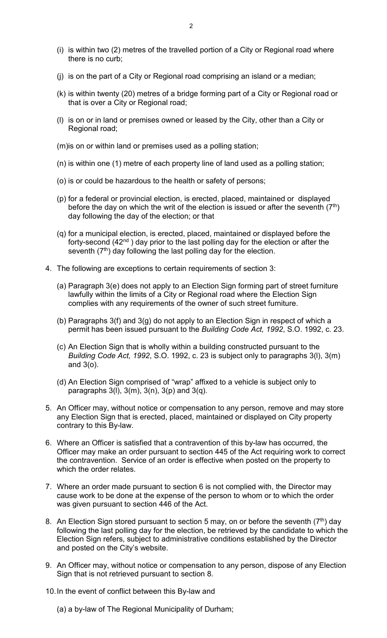- (i) is within two (2) metres of the travelled portion of a City or Regional road where there is no curb;
- (j) is on the part of a City or Regional road comprising an island or a median;
- (k) is within twenty (20) metres of a bridge forming part of a City or Regional road or that is over a City or Regional road;
- <span id="page-1-2"></span>(l) is on or in land or premises owned or leased by the City, other than a City or Regional road;
- <span id="page-1-3"></span>(m)is on or within land or premises used as a polling station;
- <span id="page-1-5"></span>(n) is within one (1) metre of each property line of land used as a polling station;
- <span id="page-1-4"></span>(o) is or could be hazardous to the health or safety of persons;
- <span id="page-1-6"></span>(p) for a federal or provincial election, is erected, placed, maintained or displayed before the day on which the writ of the election is issued or after the seventh  $(7<sup>th</sup>)$ day following the day of the election; or that
- <span id="page-1-7"></span>(q) for a municipal election, is erected, placed, maintained or displayed before the forty-second  $(42<sup>nd</sup>)$  day prior to the last polling day for the election or after the seventh  $(7<sup>th</sup>)$  day following the last polling day for the election.
- <span id="page-1-1"></span>4. The following are exceptions to certain requirements of section [3:](#page-0-0)
	- (a) Paragraph [3\(e\)](#page-0-1) does not apply to an Election Sign forming part of street furniture lawfully within the limits of a City or Regional road where the Election Sign complies with any requirements of the owner of such street furniture.
	- (b) Paragraphs [3\(f\)](#page-0-2) and [3\(g\)](#page-0-3) do not apply to an Election Sign in respect of which a permit has been issued pursuant to the *Building Code Act, 1992*, S.O. 1992, c. 23.
	- (c) An Election Sign that is wholly within a building constructed pursuant to the *Building Code Act, 1992*, S.O. 1992, c. 23 is subject only to paragraphs [3\(l\),](#page-1-2) [3\(m\)](#page-1-3) and [3\(o\).](#page-1-4)
	- (d) An Election Sign comprised of "wrap" affixed to a vehicle is subject only to paragraphs  $3(1)$ ,  $3(m)$ ,  $3(n)$ ,  $3(p)$  and  $3(q)$ .
- <span id="page-1-8"></span>5. An Officer may, without notice or compensation to any person, remove and may store any Election Sign that is erected, placed, maintained or displayed on City property contrary to this By-law.
- <span id="page-1-0"></span>6. Where an Officer is satisfied that a contravention of this by-law has occurred, the Officer may make an order pursuant to section 445 of the Act requiring work to correct the contravention. Service of an order is effective when posted on the property to which the order relates.
- 7. Where an order made pursuant to section [6](#page-1-0) is not complied with, the Director may cause work to be done at the expense of the person to whom or to which the order was given pursuant to section 446 of the Act.
- <span id="page-1-9"></span>8. An Election Sign stored pursuant to section [5](#page-1-8) may, on or before the seventh  $(7<sup>th</sup>)$  day following the last polling day for the election, be retrieved by the candidate to which the Election Sign refers, subject to administrative conditions established by the Director and posted on the City's website.
- 9. An Officer may, without notice or compensation to any person, dispose of any Election Sign that is not retrieved pursuant to section [8.](#page-1-9)
- <span id="page-1-10"></span>10.In the event of conflict between this By-law and
	- (a) a by-law of The Regional Municipality of Durham;